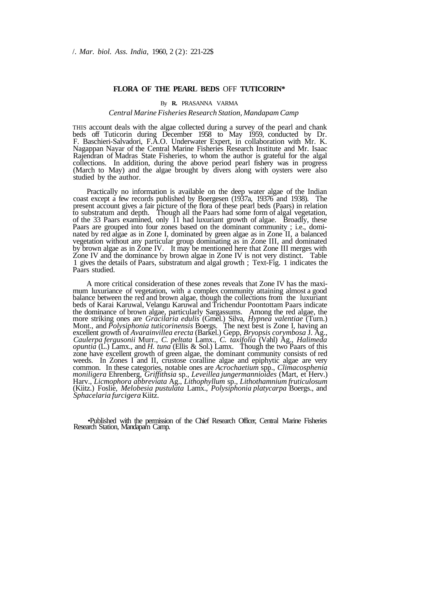# **FLORA OF THE PEARL BEDS** OFF **TUTICORIN\***

#### By **R.** PRASANNA VARMA

## *Central Marine Fisheries Research Station, Mandapam Camp*

THIS account deals with the algae collected during a survey of the pearl and chank beds off Tuticorin during December 1958 to May 1959, conducted by Dr. F. Baschieri-Salvadori, F.A.O. Underwater Expert, in collaboration with Mr. K. Nagappan Nayar of the Central Marine Fisheries Research Institute and Mr. Isaac Rajendran of Madras State Fisheries, to whom the author is grateful for the algal collections. In addition, during the above period pearl fishery was in progress (March to May) and the algae brought by divers along with oysters were also studied by the author.

Practically no information is available on the deep water algae of the Indian coast except a few records published by Boergesen (1937a, 19376 and 1938). The present account gives a fair picture of the flora of these pearl beds (Paars) in relation to substratum and depth. Though all the Paars had some form of algal vegetation, of the 33 Paars examined, only 11 had luxuriant growth of algae. Broadly, these Paars are grouped into four zones based on the dominant community ; i.e., dominated by red algae as in Zone I, dominated by green algae as in Zone II, a balanced vegetation without any particular group dominating as in Zone III, and dominated by brown algae as in Zone IV. It may be mentioned here that Zone III merges with Zone IV and the dominance by brown algae in Zone IV is not very distinct. Table 1 gives the details of Paars, substratum and algal growth ; Text-Fig. 1 indicates the Paars studied.

A more critical consideration of these zones reveals that Zone IV has the maximum luxuriance of vegetation, with a complex community attaining almost a good balance between the red and brown algae, though the collections from the luxuriant beds of Karai Karuwal, Velangu Karuwal and Trichendur Poontottam Paars indicate the dominance of brown algae, particularly Sargassums. Among the red algae, the more striking ones are *Gracilaria edulis* (Gmel.) Silva, *Hypnea valentiae* (Turn.) Mont., and *Polysiphonia tuticorinensis* Boergs. The next best is Zone I, having an excellent growth of *Avarainvillea erecta* (Barkel.) Gepp, *Bryopsis corymbosa* J. Ag., *Caulerpa fergusonii* Murr., *C. peltata* Lamx., *C. taxifolia* (Vahl) Ag., *Halimeda opuntia* (L.) Lamx., and *H. tuna* (Ellis & Sol.) Lamx. Though the two Paars of this zone have excellent growth of green algae, the dominant community consists of red weeds. In Zones I and II, crustose coralline algae and epiphytic algae are very common. In these categories, notable ones are *Acrochaetium* spp., *Climacosphenia moniligera* Ehrenberg, *Griffithsia* sp., *Leveillea jungermannioides* (Mart, et Herv.) Harv., *Licmophora abbreviata* Ag., *Lithophyllum* sp., *Lithothamnium fruticulosum*  (Kiitz.) Foslie, *Melobesia pustulata* Lamx., *Polysiphonia platycarpa* Boergs., and *Sphacelaria furcigera* Kiitz.

•Published with the permission of the Chief Research Officer, Central Marine Fisheries Research Station, Mandapam Camp.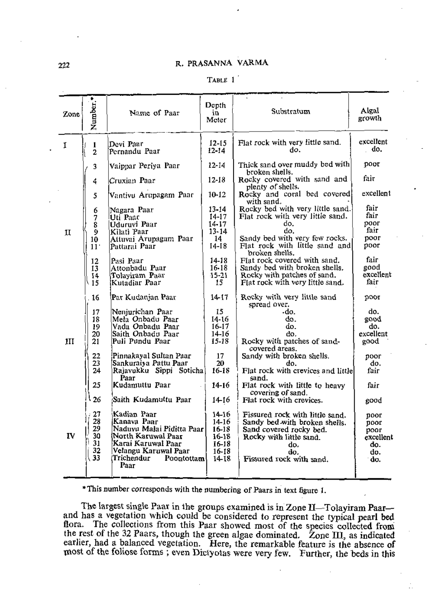## R. PRASANNA VARMA

|--|--|

| Zone | Number.                                | Name of Paar                                                                                                                                                    | Dopth<br>١n<br>Meter                                        | Substratum                                                                                                                                                               | Algal<br>growth                                        |
|------|----------------------------------------|-----------------------------------------------------------------------------------------------------------------------------------------------------------------|-------------------------------------------------------------|--------------------------------------------------------------------------------------------------------------------------------------------------------------------------|--------------------------------------------------------|
| 1    | 1<br>$\overline{2}$                    | Devi Paar<br>Pernandu Paar                                                                                                                                      | 12-15<br>12-14                                              | Flat rock with very little sand.<br>do.                                                                                                                                  | excellent<br>do.                                       |
|      | 3                                      | Vaippar Periya Paar                                                                                                                                             | 12-14                                                       | Thick sand over muddy bed with<br>broken shells.                                                                                                                         | poor                                                   |
|      | 4                                      | Cruxian Paar                                                                                                                                                    | $12-18$                                                     | Rocky covered with sand and<br>plenty of shells.                                                                                                                         | fair                                                   |
|      | 5                                      | Vantivu Arupagam Paar                                                                                                                                           | 10-12                                                       | Rocky and coral bed covered<br>with sand.                                                                                                                                | excellent                                              |
| п    | 6<br>7<br>ġ<br>9<br>10<br>11'          | Nagara Paar<br>Uti Paat<br>Uduruvi Paar<br>Kilati Paar<br> Attuvai Arupagam Paar<br>Pattarai Paar                                                               | 13-14<br>14-17<br>14-17<br>$13 - 14$<br>14<br>14-18         | Rocky bed with very little sand.<br>Flat rock with very little sand.<br>do.<br>do.<br>Sandy bed with very few rocks.<br>Flat rock with little sand and<br>broken shells. | fair<br>fair<br>noor<br>fair<br>poor<br>poor           |
|      | 12<br>13<br>14<br>15                   | Pasi Paar<br>Attonbadu Paar<br>Tolayiram Paar<br>Kutadiar Paar                                                                                                  | 14-18<br>$16 - 18$<br>$15 - 21$<br>15                       | Flat rock covered with sand.<br>Sandy bed with broken shells.<br>Rocky with patches of sand.<br>Flat rock with very little sand.                                         | fair<br>good<br>excellent<br>fair                      |
|      | 16                                     | Par Kudanjan Paar                                                                                                                                               | 14-17                                                       | Rocky with very little sand<br>spread over.                                                                                                                              | poor                                                   |
| 1II  | 17<br>18<br>19<br>20<br>21<br>22<br>23 | Nenjurichan Paar<br>Mela Onbadu Paar<br>Vada Onbadu Paar<br>Saith Onbadu Paar<br>Puli Pundu Paar<br>Pinnakayal Sultan Paar!<br> Sankuraiya Pattu Paar           | 15<br>14-16<br>16-17<br>14-16<br>15-18<br>17<br>20          | -do.<br>do.<br>do.<br>do.<br>Rocky with patches of sand-<br>covered areas.<br>Sandy with broken shells.<br>do.                                                           | do.<br>boog<br>do.<br>excellent<br>good<br>poor<br>do. |
|      | 24<br>25                               | Rajavukku Sippi Sotichal<br>Рааг<br>Kudamuttu Paar                                                                                                              | 16-18<br>14-16                                              | Flat rock with crevices and little<br>sand.<br>Flat rock with little to heavy                                                                                            | fair<br>fair                                           |
|      | 26                                     | Saith Kudamuttu Paar                                                                                                                                            | 14-16                                                       | covering of sand.<br>Flat rock with crevices.                                                                                                                            | good                                                   |
| IV   | 27<br>28<br>29<br>30<br>31<br>32<br>33 | Kadian Paar<br>Kanava Paar<br>Naduvu Malai Piditta Paar<br>North Karuwal Paar<br>Karai Karuwal Paar<br>Velangu Karuwal Paar<br>Trichendur<br>Poontottam<br>Рааг | 14-16<br>14-16<br>16–18<br>16-18<br>16-18<br>16-18<br>14-18 | Fissured rock with little sand.<br>Sandy bed with broken shells.<br>Sand covered rocky bed.<br>Rocky with little sand.<br>do.<br>do.<br>Fissured rock with sand.         | poor<br>poor<br>poor<br>excellent<br>do.<br>do.<br>do. |

\* This number corresponds with the numbering of Paars in text figure 1.

The largest single Paar in the groups examined is in Zone II-Tolayiram Paarand has a vegetation which could be considered to represent the typical pearl bed flora. The collections from this Paar showed most of the species collected from the rest of the 32 Paars, though the green algae dominated. Zone III, as indicated earlier, had a balanced vegetation. Here, the remarkable feature is the absence of most of the follose forms; even Dictyotas were very few. Further, the beds in this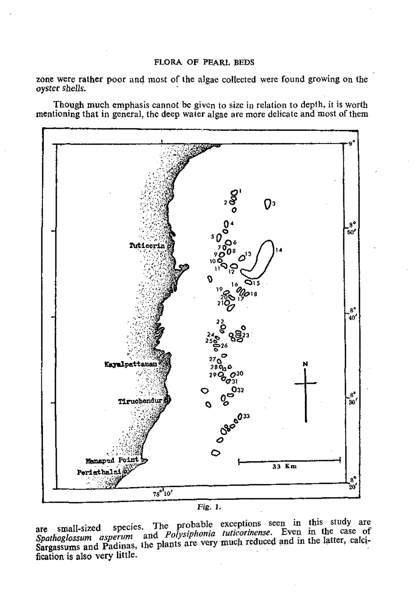zone were rather poor and most of the algae collected were found growing on the oyster shells.

Though much emphasis cannot be given to size in relation to depth, it is worth mentioning that in general, the deep water algae are more delicate and most of them





are small-sized species. The *Palasiphonia tuticarinense*. Even in the case  $\alpha$  B  $\alpha$  in as, the plants are very much reduced and in the latter, callefication is also very little.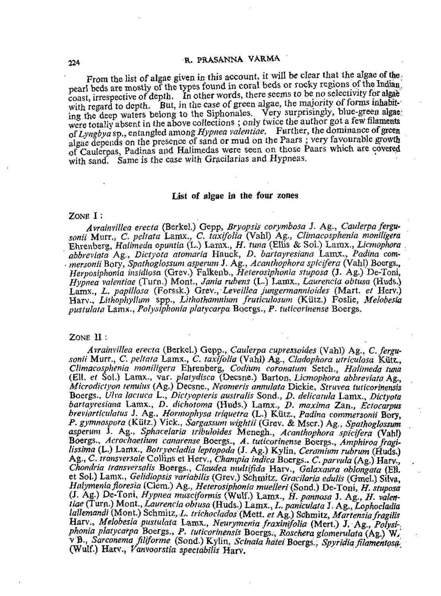### R. PRASANNA VARMA

From the list of algae given in this account, it will be clear that the algae of the. pearl beds are mostly of the types found in coral beds or rocky regions of the Indian coast, irrespective of depth. In other words, there seems to be no selectivity for algae with regard to depth. But, in the case of green algae, the majority of forms inhabiting the deep waters belong to the Siphonales. Very surprisingly, blue-green algae; were totally absent in the above collections; only twice the author got a few filaments of Lyngbya<sup>sp.</sup>, entangled among *Hypnea valentiae.* Further, the dominance of green algae depends on the presence of sand or mud on the Paars ; very favourable growth of Caulerpas, Padinas and Halimedas were seen on those Paars which are covered with sand. Same is the case with Gracilarias and Hypneas.

#### List of algae In the four zones

### Zone I :

*Avrainvillea erecta* (Berkel.) Gepp, *Bryopsis corymbosa* J. Ag., *Caulerpa fergusonii* Murr,, C. *peltata* Lamx., C. *taxifolia* (Vahl) Ag., *Climacosphenia moniligera* Ehrenberg, *Halimeda opuntia* (L.) Lamx., *H. tuna* (Ellis & Sol.) Lamx., *Licmophora abbreviata* Ag., *Dictyota atomaria* Hauck, *D. bartayresiam* Lamx., *P adim* com- ■ *mersonii* Bory, *Spathoghssum asperum* J. Ag., *Acanthophora spicifera* (Vahl) Boergs., *Herposiphoma insidiosa* (Gtev.) Falkenb., *Heterosiphoiiia stuposa* (J. Ag.) De-Toni, *Hypnea vakntiae* (Turn.) Mont., *Jania rubens* (L.) Lamx., *Laurencia obtusa* (Huds.) Lamx., *L. papillosa* (Forssk.) Grev., *Leveillea jungermannioides* (Mart. *et* Herv.) Harv., *LUhophylltin)* spp., *Lithothamniion fruticulosum* (Kiitz.) Foshe, *Melobesia pustula/ii* Lamx., *Polysiphonia plalycarpa* Boergs., *P- tuticormet^se* Boergs.

## ZONE  $II$ :

*Avrainvillea erecta* (Berkel.) Gepp., *Caulerpa cupressoides* (Vahl) Ag., C. *fergusonii* Murr., C. *peltata* Lamx., *C. taxifolia* (Vahl) Ag., *Cladophora utriculosa* Kiitz., *Climacosphenia moniligera* Ehrenberg, *Codium coronalim* Setch., *Haiimeda tuna* (EH. *et* Sol.) Lamx., var. *plaiydisca* (Decsne.) Barton, *Licmophora abbreviata Ag., Microdictyon tenuius* (Ag.) Decsne., *Neomeris annulata* Dickie, *Stru\ea tuticorinensis* Boergs., *U!va lactuca L., Dictyopreris australis* Sond., *D. delicatula* Lamx., *Dictyota b a rta ym ia m* Lamx., *D. dichotoma* (Huds.) Lamx., *D. m axim a Z an., Ectocarpus hreviarticiilatus* J. Ag., *Hormophysa triquetra* (L.) Kutz., *Padina commersonii* Bory, P. gymnaspora (Kütz.) Vick., *Sargassum wightii* (Grev. & Mscr.) Ag., *Spathoglossum asperum J. Ag., Sphacelaria tribuloides Menegh., Acanthophora spicifera* (Vahl) Boergs., *Acrocliaetium canarense Boergs., A . tuticorinense Amphiroa fragilissima* (L.) Lamx., *Botryodadia leptopoda* (J. Ag.) Kylin, *Ceramium rubrum* (Huds.) Ag., C. transversale Collins et Herv., *Champia indica Boergs.. C. parvula* (Ag.) Harv., Chondria transversalis Boergs., Claudea multifida Harv., *Galaxaura oblongata* (Ell. et Sol.) Lamx., *Gelidiopsis variabilis* (Grev.) Schmitz. *Gracilaria edulis* (Gmel.) Silva, *Halymeniafloresia* (Clem.) Ag., *Heterosiphonia muelleri* (Sond.) De-Toni, *H. stuposa* (J. Ag.) De-Toni, *Hypnea musciformis* (Wulf.) Lamx., *H . pannosa* J. Ag., *H . valeniiae* (Turn.) Mont., *Laurencia obtusa* (Huds.) Lamx., *L.paniculata* J. Ag., *Lophodadia lallemandi* (Mont.) Schmitz, *L. trichodados* (M ett. *et* Ag.) Schmitz, *M artensia fragiUs* Harv., *Melobesia pustulata Lamx., Neurymenia fraxinifolia* (Mert.) J. Ag., *Polysi-. phonia platycarpa* Boergs., *P. tuticorinensis* Boergs., *Raschera glomenilafa* (Ag.) W>' v B., *Sarconema filiforme* (Sond.) Kylin, *Scinala hatei* Boergs., *Spyridia filamentosa*. (Wulf.) Harv., *Vanvoorstia spectabilis* Harv.